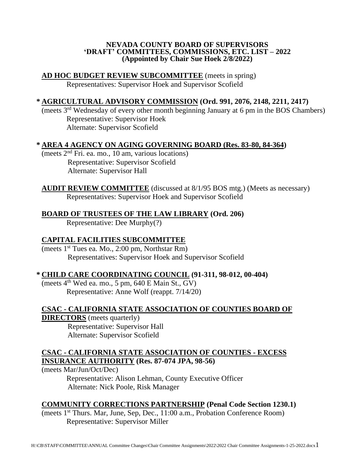#### **NEVADA COUNTY BOARD OF SUPERVISORS 'DRAFT' COMMITTEES, COMMISSIONS, ETC. LIST – 2022 (Appointed by Chair Sue Hoek 2/8/2022)**

### **AD HOC BUDGET REVIEW SUBCOMMITTEE** (meets in spring)

Representatives: Supervisor Hoek and Supervisor Scofield

### **\* AGRICULTURAL ADVISORY COMMISSION (Ord. 991, 2076, 2148, 2211, 2417)**

(meets 3rd Wednesday of every other month beginning January at 6 pm in the BOS Chambers) Representative: Supervisor Hoek Alternate: Supervisor Scofield

### **\* AREA 4 AGENCY ON AGING GOVERNING BOARD (Res. 83-80, 84-364)**

(meets 2nd Fri. ea. mo., 10 am, various locations) Representative: Supervisor Scofield Alternate: Supervisor Hall

**AUDIT REVIEW COMMITTEE** (discussed at 8/1/95 BOS mtg.) (Meets as necessary) Representatives: Supervisor Hoek and Supervisor Scofield

## **BOARD OF TRUSTEES OF THE LAW LIBRARY (Ord. 206)**

Representative: Dee Murphy(?)

## **CAPITAL FACILITIES SUBCOMMITTEE**

(meets 1st Tues ea. Mo., 2:00 pm, Northstar Rm) Representatives: Supervisor Hoek and Supervisor Scofield

### **\* CHILD CARE COORDINATING COUNCIL (91-311, 98-012, 00-404)**

(meets 4<sup>th</sup> Wed ea. mo., 5 pm, 640 E Main St., GV) Representative: Anne Wolf (reappt. 7/14/20)

## **CSAC - CALIFORNIA STATE ASSOCIATION OF COUNTIES BOARD OF**

**DIRECTORS** (meets quarterly)

Representative: Supervisor Hall Alternate: Supervisor Scofield

## **CSAC - CALIFORNIA STATE ASSOCIATION OF COUNTIES - EXCESS INSURANCE AUTHORITY (Res. 87-074 JPA, 98-56)**

(meets Mar/Jun/Oct/Dec)

Representative: Alison Lehman, County Executive Officer Alternate: Nick Poole, Risk Manager

### **COMMUNITY CORRECTIONS PARTNERSHIP (Penal Code Section 1230.1)**

(meets 1st Thurs. Mar, June, Sep, Dec., 11:00 a.m., Probation Conference Room) Representative: Supervisor Miller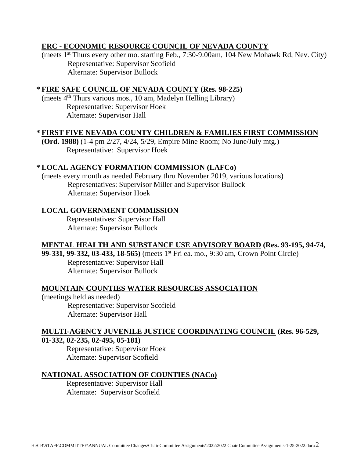## **ERC - ECONOMIC RESOURCE COUNCIL OF NEVADA COUNTY**

(meets 1st Thurs every other mo. starting Feb., 7:30-9:00am, 104 New Mohawk Rd, Nev. City) Representative: Supervisor Scofield Alternate: Supervisor Bullock

### **\* FIRE SAFE COUNCIL OF NEVADA COUNTY (Res. 98-225)**

(meets 4th Thurs various mos., 10 am, Madelyn Helling Library) Representative: Supervisor Hoek Alternate: Supervisor Hall

### **\* FIRST FIVE NEVADA COUNTY CHILDREN & FAMILIES FIRST COMMISSION**

**(Ord. 1988)** (1-4 pm 2/27, 4/24, 5/29, Empire Mine Room; No June/July mtg.) Representative: Supervisor Hoek

### **\* LOCAL AGENCY FORMATION COMMISSION (LAFCo)**

(meets every month as needed February thru November 2019, various locations) Representatives: Supervisor Miller and Supervisor Bullock Alternate: Supervisor Hoek

### **LOCAL GOVERNMENT COMMISSION**

Representatives: Supervisor Hall Alternate: Supervisor Bullock

### **MENTAL HEALTH AND SUBSTANCE USE ADVISORY BOARD (Res. 93-195, 94-74,**

**99-331, 99-332, 03-433, 18-565)** (meets 1st Fri ea. mo., 9:30 am, Crown Point Circle) Representative: Supervisor Hall Alternate: Supervisor Bullock

#### **MOUNTAIN COUNTIES WATER RESOURCES ASSOCIATION**

(meetings held as needed) Representative: Supervisor Scofield Alternate: Supervisor Hall

# **MULTI-AGENCY JUVENILE JUSTICE COORDINATING COUNCIL (Res. 96-529,**

## **01-332, 02-235, 02-495, 05-181)**

Representative: Supervisor Hoek Alternate: Supervisor Scofield

#### **NATIONAL ASSOCIATION OF COUNTIES (NACo)**

Representative: Supervisor Hall Alternate: Supervisor Scofield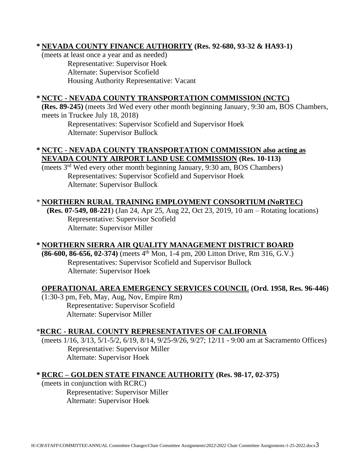# **\* NEVADA COUNTY FINANCE AUTHORITY (Res. 92-680, 93-32 & HA93-1)**

(meets at least once a year and as needed) Representative: Supervisor Hoek Alternate: Supervisor Scofield Housing Authority Representative: Vacant

# **\* NCTC - NEVADA COUNTY TRANSPORTATION COMMISSION (NCTC)**

**(Res. 89-245)** (meets 3rd Wed every other month beginning January, 9:30 am, BOS Chambers, meets in Truckee July 18, 2018)

Representatives: Supervisor Scofield and Supervisor Hoek Alternate: Supervisor Bullock

## **\* NCTC - NEVADA COUNTY TRANSPORTATION COMMISSION also acting as NEVADA COUNTY AIRPORT LAND USE COMMISSION (Res. 10-113)**

(meets 3rd Wed every other month beginning January, 9:30 am, BOS Chambers) Representatives: Supervisor Scofield and Supervisor Hoek Alternate: Supervisor Bullock

# \* **NORTHERN RURAL TRAINING EMPLOYMENT CONSORTIUM (NoRTEC)**

**(Res. 07-549, 08-221**) (Jan 24, Apr 25, Aug 22, Oct 23, 2019, 10 am – Rotating locations) Representative: Supervisor Scofield Alternate: Supervisor Miller

## **\* NORTHERN SIERRA AIR QUALITY MANAGEMENT DISTRICT BOARD**

**(86-600, 86-656, 02-374)** (meets 4th Mon, 1-4 pm, 200 Litton Drive, Rm 316, G.V.) Representatives: Supervisor Scofield and Supervisor Bullock Alternate: Supervisor Hoek

# **OPERATIONAL AREA EMERGENCY SERVICES COUNCIL (Ord. 1958, Res. 96-446)**

(1:30-3 pm, Feb, May, Aug, Nov, Empire Rm) Representative: Supervisor Scofield Alternate: Supervisor Miller

## \***RCRC - RURAL COUNTY REPRESENTATIVES OF CALIFORNIA**

(meets 1/16, 3/13, 5/1-5/2, 6/19, 8/14, 9/25-9/26, 9/27; 12/11 - 9:00 am at Sacramento Offices) Representative: Supervisor Miller Alternate: Supervisor Hoek

## **\* RCRC – GOLDEN STATE FINANCE AUTHORITY (Res. 98-17, 02-375)**

(meets in conjunction with RCRC) Representative: Supervisor Miller Alternate: Supervisor Hoek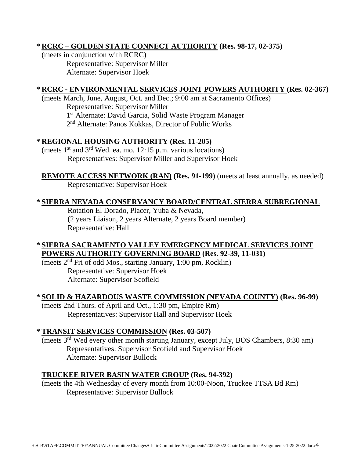# **\* RCRC – GOLDEN STATE CONNECT AUTHORITY (Res. 98-17, 02-375)**

(meets in conjunction with RCRC) Representative: Supervisor Miller Alternate: Supervisor Hoek

# **\* RCRC - ENVIRONMENTAL SERVICES JOINT POWERS AUTHORITY (Res. 02-367)**

(meets March, June, August, Oct. and Dec.; 9:00 am at Sacramento Offices) Representative: Supervisor Miller 1<sup>st</sup> Alternate: David Garcia, Solid Waste Program Manager 2<sup>nd</sup> Alternate: Panos Kokkas, Director of Public Works

## **\* REGIONAL HOUSING AUTHORITY (Res. 11-205)**

(meets 1 st and 3rd Wed. ea. mo. 12:15 p.m. various locations) Representatives: Supervisor Miller and Supervisor Hoek

**REMOTE ACCESS NETWORK (RAN) (Res. 91-199)** (meets at least annually, as needed) Representative: Supervisor Hoek

# **\* SIERRA NEVADA CONSERVANCY BOARD/CENTRAL SIERRA SUBREGIONAL**

Rotation El Dorado, Placer, Yuba & Nevada, (2 years Liaison, 2 years Alternate, 2 years Board member) Representative: Hall

## **\* SIERRA SACRAMENTO VALLEY EMERGENCY MEDICAL SERVICES JOINT POWERS AUTHORITY GOVERNING BOARD (Res. 92-39, 11-031)**

(meets 2 nd Fri of odd Mos., starting January, 1:00 pm, Rocklin) Representative: Supervisor Hoek Alternate: Supervisor Scofield

## **\* SOLID & HAZARDOUS WASTE COMMISSION (NEVADA COUNTY) (Res. 96-99)**

(meets 2nd Thurs. of April and Oct., 1:30 pm, Empire Rm) Representatives: Supervisor Hall and Supervisor Hoek

## **\* TRANSIT SERVICES COMMISSION (Res. 03-507)**

(meets 3rd Wed every other month starting January, except July, BOS Chambers, 8:30 am) Representatives: Supervisor Scofield and Supervisor Hoek Alternate: Supervisor Bullock

## **TRUCKEE RIVER BASIN WATER GROUP (Res. 94-392)**

(meets the 4th Wednesday of every month from 10:00-Noon, Truckee TTSA Bd Rm) Representative: Supervisor Bullock